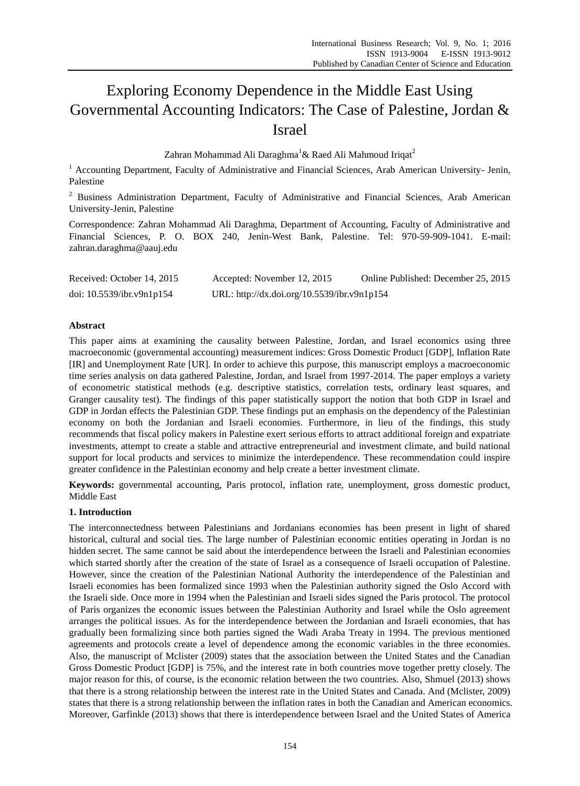# Exploring Economy Dependence in the Middle East Using Governmental Accounting Indicators: The Case of Palestine, Jordan & Israel

Zahran Mohammad Ali Daraghma<sup>1</sup>& Raed Ali Mahmoud Iriqat<sup>2</sup>

<sup>1</sup> Accounting Department, Faculty of Administrative and Financial Sciences, Arab American University- Jenin, Palestine

<sup>2</sup> Business Administration Department, Faculty of Administrative and Financial Sciences, Arab American University-Jenin, Palestine

Correspondence: Zahran Mohammad Ali Daraghma, Department of Accounting, Faculty of Administrative and Financial Sciences, P. O. BOX 240, Jenin-West Bank, Palestine. Tel: 970-59-909-1041. E-mail: zahran.daraghma@aauj.edu

| Received: October 14, 2015   | Accepted: November 12, 2015                 | Online Published: December 25, 2015 |
|------------------------------|---------------------------------------------|-------------------------------------|
| doi: $10.5539$ /ibr.v9n1p154 | URL: http://dx.doi.org/10.5539/ibr.v9n1p154 |                                     |

# **Abstract**

This paper aims at examining the causality between Palestine, Jordan, and Israel economics using three macroeconomic (governmental accounting) measurement indices: Gross Domestic Product [GDP], Inflation Rate [IR] and Unemployment Rate [UR]. In order to achieve this purpose, this manuscript employs a macroeconomic time series analysis on data gathered Palestine, Jordan, and Israel from 1997-2014. The paper employs a variety of econometric statistical methods (e.g. descriptive statistics, correlation tests, ordinary least squares, and Granger causality test). The findings of this paper statistically support the notion that both GDP in Israel and GDP in Jordan effects the Palestinian GDP. These findings put an emphasis on the dependency of the Palestinian economy on both the Jordanian and Israeli economies. Furthermore, in lieu of the findings, this study recommends that fiscal policy makers in Palestine exert serious efforts to attract additional foreign and expatriate investments, attempt to create a stable and attractive entrepreneurial and investment climate, and build national support for local products and services to minimize the interdependence. These recommendation could inspire greater confidence in the Palestinian economy and help create a better investment climate.

**Keywords:** governmental accounting, Paris protocol, inflation rate, unemployment, gross domestic product, Middle East

# **1. Introduction**

The interconnectedness between Palestinians and Jordanians economies has been present in light of shared historical, cultural and social ties. The large number of Palestinian economic entities operating in Jordan is no hidden secret. The same cannot be said about the interdependence between the Israeli and Palestinian economies which started shortly after the creation of the state of Israel as a consequence of Israeli occupation of Palestine. However, since the creation of the Palestinian National Authority the interdependence of the Palestinian and Israeli economies has been formalized since 1993 when the Palestinian authority signed the Oslo Accord with the Israeli side. Once more in 1994 when the Palestinian and Israeli sides signed the Paris protocol. The protocol of Paris organizes the economic issues between the Palestinian Authority and Israel while the Oslo agreement arranges the political issues. As for the interdependence between the Jordanian and Israeli economies, that has gradually been formalizing since both parties signed the Wadi Araba Treaty in 1994. The previous mentioned agreements and protocols create a level of dependence among the economic variables in the three economies. Also, the manuscript of Mclister (2009) states that the association between the United States and the Canadian Gross Domestic Product [GDP] is [75%,](http://www.td.com/economics/special/el1107_decouple.jsp) and the interest rate in both countries move together pretty closely. The major reason for this, of course, is the economic relation between the two countries. Also, Shmuel (2013) shows that there is a strong relationship between the interest rate in the United States and Canada. And (Mclister, 2009) states that there is a strong relationship between the inflation rates in both the Canadian and American economics. Moreover, Garfinkle (2013) shows that there is interdependence between Israel and the United States of America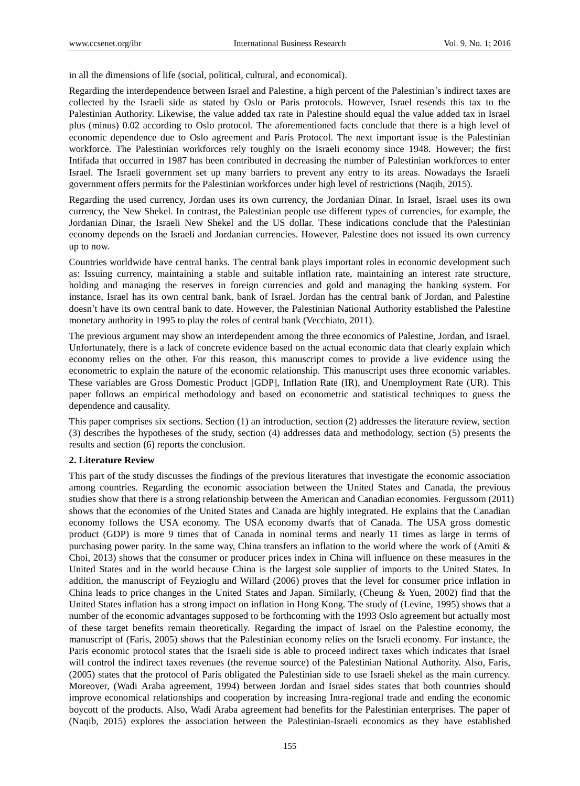in all the dimensions of life (social, political, cultural, and economical).

Regarding the interdependence between Israel and Palestine, a high percent of the Palestinian's indirect taxes are collected by the Israeli side as stated by Oslo or Paris protocols. However, Israel resends this tax to the Palestinian Authority. Likewise, the value added tax rate in Palestine should equal the value added tax in Israel plus (minus) 0.02 according to Oslo protocol. The aforementioned facts conclude that there is a high level of economic dependence due to Oslo agreement and Paris Protocol. The next important issue is the Palestinian workforce. The Palestinian workforces rely toughly on the Israeli economy since 1948. However; the first Intifada that occurred in 1987 has been contributed in decreasing the number of Palestinian workforces to enter Israel. The Israeli government set up many barriers to prevent any entry to its areas. Nowadays the Israeli government offers permits for the Palestinian workforces under high level of restrictions (Naqib, 2015).

Regarding the used currency, Jordan uses its own currency, the Jordanian Dinar. In Israel, Israel uses its own currency, the New Shekel. In contrast, the Palestinian people use different types of currencies, for example, the Jordanian Dinar, the Israeli New Shekel and the US dollar. These indications conclude that the Palestinian economy depends on the Israeli and Jordanian currencies. However, Palestine does not issued its own currency up to now.

Countries worldwide have central banks. The central bank plays important roles in economic development such as: Issuing currency, maintaining a stable and suitable inflation rate, maintaining an interest rate structure, holding and managing the reserves in foreign currencies and gold and managing the banking system. For instance, Israel has its own central bank, bank of Israel. Jordan has the central bank of Jordan, and Palestine doesn't have its own central bank to date. However, the Palestinian National Authority established the Palestine monetary authority in 1995 to play the roles of central bank (Vecchiato, 2011).

The previous argument may show an interdependent among the three economics of Palestine, Jordan, and Israel. Unfortunately, there is a lack of concrete evidence based on the actual economic data that clearly explain which economy relies on the other. For this reason, this manuscript comes to provide a live evidence using the econometric to explain the nature of the economic relationship. This manuscript uses three economic variables. These variables are Gross Domestic Product [GDP], Inflation Rate (IR), and Unemployment Rate (UR). This paper follows an empirical methodology and based on econometric and statistical techniques to guess the dependence and causality.

This paper comprises six sections. Section (1) an introduction, section (2) addresses the literature review, section (3) describes the hypotheses of the study, section (4) addresses data and methodology, section (5) presents the results and section (6) reports the conclusion.

## **2. Literature Review**

This part of the study discusses the findings of the previous literatures that investigate the economic association among countries. Regarding the economic association between the United States and Canada, the previous studies show that there is a strong relationship between the American and Canadian economies. Fergussom (2011) shows that the economies of the United States and Canada are highly integrated. He explains that the Canadian economy follows the USA economy. The USA economy dwarfs that of Canada. The USA gross domestic product (GDP) is more 9 times that of Canada in nominal terms and nearly 11 times as large in terms of purchasing power parity. In the same way, China transfers an inflation to the world where the work of (Amiti & Choi, 2013) shows that the consumer or producer prices index in China will influence on these measures in the United States and in the world because China is the largest sole supplier of imports to the United States. In addition, the manuscript of Feyzioglu and Willard (2006) proves that the level for consumer price inflation in China leads to price changes in the United States and Japan. Similarly, (Cheung & Yuen, 2002) find that the United States inflation has a strong impact on inflation in Hong Kong. The study of (Levine, 1995) shows that a number of the economic advantages supposed to be forthcoming with the 1993 Oslo agreement but actually most of these target benefits remain theoretically. Regarding the impact of Israel on the Palestine economy, the manuscript of (Faris, 2005) shows that the Palestinian economy relies on the Israeli economy. For instance, the Paris economic protocol states that the Israeli side is able to proceed indirect taxes which indicates that Israel will control the indirect taxes revenues (the revenue source) of the Palestinian National Authority. Also, Faris, (2005) states that the protocol of Paris obligated the Palestinian side to use Israeli shekel as the main currency. Moreover, (Wadi Araba agreement, 1994) between Jordan and Israel sides states that both countries should improve economical relationships and cooperation by increasing Intra-regional trade and ending the economic boycott of the products. Also, Wadi Araba agreement had benefits for the Palestinian enterprises. The paper of (Naqib, 2015) explores the association between the Palestinian-Israeli economics as they have established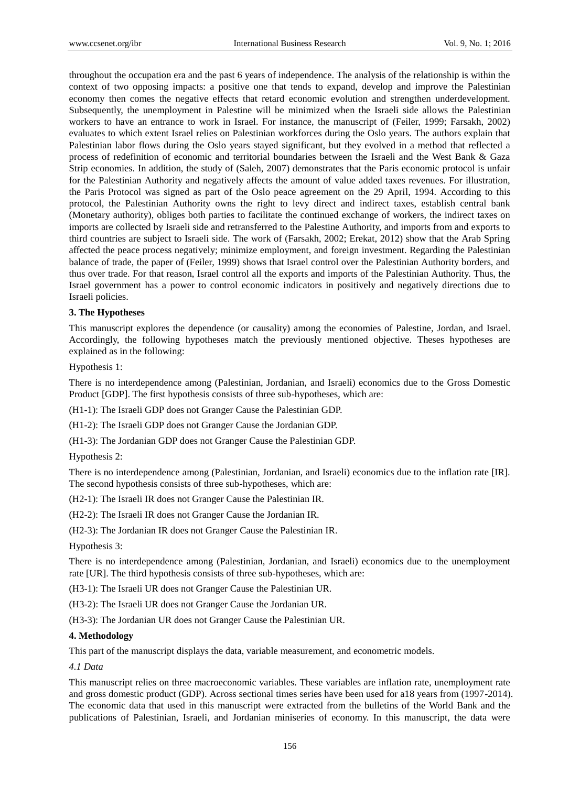throughout the occupation era and the past 6 years of independence. The analysis of the relationship is within the context of two opposing impacts: a positive one that tends to expand, develop and improve the Palestinian economy then comes the negative effects that retard economic evolution and strengthen underdevelopment. Subsequently, the unemployment in Palestine will be minimized when the Israeli side allows the Palestinian workers to have an entrance to work in Israel. For instance, the manuscript of (Feiler, 1999; Farsakh, 2002) evaluates to which extent Israel relies on Palestinian workforces during the Oslo years. The authors explain that Palestinian labor flows during the Oslo years stayed significant, but they evolved in a method that reflected a process of redefinition of economic and territorial boundaries between the Israeli and the West Bank & Gaza Strip economies. In addition, the study of (Saleh, 2007) demonstrates that the Paris economic protocol is unfair for the Palestinian Authority and negatively affects the amount of value added taxes revenues. For illustration, the Paris Protocol was signed as part of the Oslo peace agreement on the 29 April, 1994. According to this protocol, the Palestinian Authority owns the right to levy direct and indirect taxes, establish central bank (Monetary authority), obliges both parties to facilitate the continued exchange of workers, the indirect taxes on imports are collected by Israeli side and retransferred to the Palestine Authority, and imports from and exports to third countries are subject to Israeli side. The work of (Farsakh, 2002; Erekat, 2012) show that the Arab Spring affected the peace process negatively; minimize employment, and foreign investment. Regarding the Palestinian balance of trade, the paper of (Feiler, 1999) shows that Israel control over the Palestinian Authority borders, and thus over trade. For that reason, Israel control all the exports and imports of the Palestinian Authority. Thus, the Israel government has a power to control economic indicators in positively and negatively directions due to Israeli policies.

# **3. The Hypotheses**

This manuscript explores the dependence (or causality) among the economies of Palestine, Jordan, and Israel. Accordingly, the following hypotheses match the previously mentioned objective. Theses hypotheses are explained as in the following:

Hypothesis 1:

There is no interdependence among (Palestinian, Jordanian, and Israeli) economics due to the Gross Domestic Product [GDP]. The first hypothesis consists of three sub-hypotheses, which are:

(H1-1): The Israeli GDP does not Granger Cause the Palestinian GDP.

(H1-2): The Israeli GDP does not Granger Cause the Jordanian GDP.

(H1-3): The Jordanian GDP does not Granger Cause the Palestinian GDP.

Hypothesis 2:

There is no interdependence among (Palestinian, Jordanian, and Israeli) economics due to the inflation rate [IR]. The second hypothesis consists of three sub-hypotheses, which are:

(H2-1): The Israeli IR does not Granger Cause the Palestinian IR.

(H2-2): The Israeli IR does not Granger Cause the Jordanian IR.

(H2-3): The Jordanian IR does not Granger Cause the Palestinian IR.

Hypothesis 3:

There is no interdependence among (Palestinian, Jordanian, and Israeli) economics due to the unemployment rate [UR]. The third hypothesis consists of three sub-hypotheses, which are:

(H3-1): The Israeli UR does not Granger Cause the Palestinian UR.

(H3-2): The Israeli UR does not Granger Cause the Jordanian UR.

(H3-3): The Jordanian UR does not Granger Cause the Palestinian UR.

## **4. Methodology**

This part of the manuscript displays the data, variable measurement, and econometric models.

*4.1 Data* 

This manuscript relies on three macroeconomic variables. These variables are inflation rate, unemployment rate and gross domestic product (GDP). Across sectional times series have been used for a18 years from (1997-2014). The economic data that used in this manuscript were extracted from the bulletins of the World Bank and the publications of Palestinian, Israeli, and Jordanian miniseries of economy. In this manuscript, the data were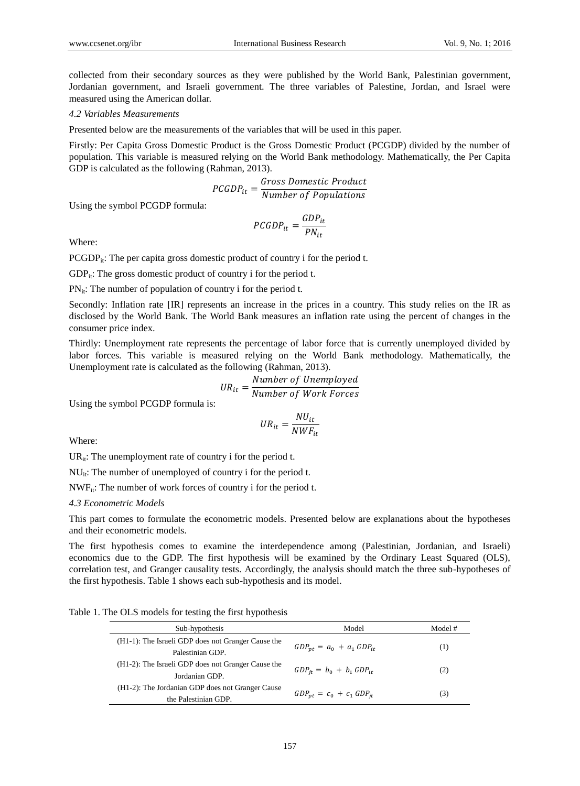collected from their secondary sources as they were published by the World Bank, Palestinian government, Jordanian government, and Israeli government. The three variables of Palestine, Jordan, and Israel were measured using the American dollar.

## *4.2 Variables Measurements*

Presented below are the measurements of the variables that will be used in this paper.

Firstly: Per Capita Gross Domestic Product is the Gross Domestic Product (PCGDP) divided by the number of population. This variable is measured relying on the World Bank methodology. Mathematically, the Per Capita GDP is calculated as the following (Rahman, 2013).

$$
PCGDP_{it} = \frac{Gross \; Domestic \; Product}{Number \; of \; Populations}
$$

Using the symbol PCGDP formula:

$$
PCGDP_{it} = \frac{GDP_{it}}{PN_{it}}
$$

Where:

 $PCGDP_{ii}$ : The per capita gross domestic product of country i for the period t.

 $GDP_{it}$ : The gross domestic product of country i for the period t.

 $PN_{it}$ : The number of population of country i for the period t.

Secondly: Inflation rate [IR] represents an increase in the prices in a country. This study relies on the IR as disclosed by the World Bank. The World Bank measures an inflation rate using the percent of changes in the consumer price index.

Thirdly: Unemployment rate represents the percentage of labor force that is currently unemployed divided by labor forces. This variable is measured relying on the World Bank methodology. Mathematically, the Unemployment rate is calculated as the following (Rahman, 2013).

$$
UR_{it} = \frac{Number\ of\ Unemployed}{Number\ of\ Work\ Forces}
$$

Using the symbol PCGDP formula is:

$$
UR_{it} = \frac{NU_{it}}{NWF_{it}}
$$

Where:

 $UR_{it}$ : The unemployment rate of country i for the period t.

NU<sub>it</sub>: The number of unemployed of country i for the period t.

 $NWF_{it}$ : The number of work forces of country i for the period t.

*4.3 Econometric Models*

This part comes to formulate the econometric models. Presented below are explanations about the hypotheses and their econometric models.

The first hypothesis comes to examine the interdependence among (Palestinian, Jordanian, and Israeli) economics due to the GDP. The first hypothesis will be examined by the Ordinary Least Squared (OLS), correlation test, and Granger causality tests. Accordingly, the analysis should match the three sub-hypotheses of the first hypothesis. Table 1 shows each sub-hypothesis and its model.

Table 1. The OLS models for testing the first hypothesis

| Sub-hypothesis                                                           | Model                           | Model #          |
|--------------------------------------------------------------------------|---------------------------------|------------------|
| (H1-1): The Israeli GDP does not Granger Cause the<br>Palestinian GDP.   | $GDP_{nt} = a_0 + a_1 GDP_{it}$ | $\left(1\right)$ |
| (H1-2): The Israeli GDP does not Granger Cause the<br>Jordanian GDP.     | $GDP_{it} = b_0 + b_1 GDP_{it}$ | (2)              |
| (H1-2): The Jordanian GDP does not Granger Cause<br>the Palestinian GDP. | $GDP_{nt} = c_0 + c_1 GDP_{it}$ | (3)              |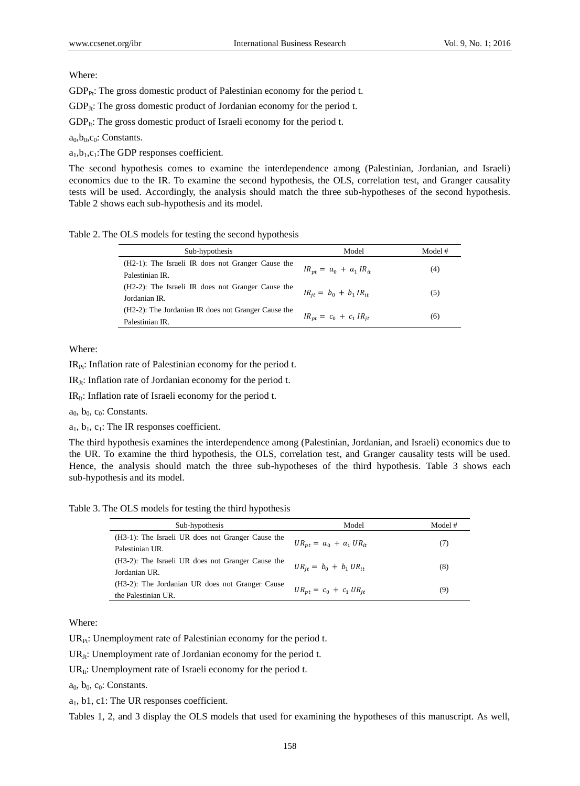## Where:

 $GDP_{Pr}:$  The gross domestic product of Palestinian economy for the period t.

 $GDP_{Jt}$ : The gross domestic product of Jordanian economy for the period t.

 $GDP<sub>It</sub>:$  The gross domestic product of Israeli economy for the period t.

 $a_0, b_0, c_0$ : Constants.

 $a_1,b_1,c_1$ : The GDP responses coefficient.

The second hypothesis comes to examine the interdependence among (Palestinian, Jordanian, and Israeli) economics due to the IR. To examine the second hypothesis, the OLS, correlation test, and Granger causality tests will be used. Accordingly, the analysis should match the three sub-hypotheses of the second hypothesis. Table 2 shows each sub-hypothesis and its model.

Table 2. The OLS models for testing the second hypothesis

| Sub-hypothesis                                                          | Model                         | Model # |
|-------------------------------------------------------------------------|-------------------------------|---------|
| $(H2-1)$ : The Israeli IR does not Granger Cause the<br>Palestinian IR. | $IR_{nt} = a_0 + a_1 IR_{it}$ | (4)     |
| $(H2-2)$ : The Israeli IR does not Granger Cause the<br>Jordanian IR.   | $IR_{it} = b_0 + b_1 IR_{it}$ | (5)     |
| (H2-2): The Jordanian IR does not Granger Cause the<br>Palestinian IR.  | $IR_{nt} = c_0 + c_1 IR_{it}$ | (6)     |

Where:

 $IR_{\text{Pr}}$ : Inflation rate of Palestinian economy for the period t.

 $IR_{Jt}$ : Inflation rate of Jordanian economy for the period t.

 $IR<sub>It</sub>$ : Inflation rate of Israeli economy for the period t.

 $a_0$ ,  $b_0$ ,  $c_0$ : Constants.

 $a_1, b_1, c_1$ : The IR responses coefficient.

The third hypothesis examines the interdependence among (Palestinian, Jordanian, and Israeli) economics due to the UR. To examine the third hypothesis, the OLS, correlation test, and Granger causality tests will be used. Hence, the analysis should match the three sub-hypotheses of the third hypothesis. Table 3 shows each sub-hypothesis and its model.

Table 3. The OLS models for testing the third hypothesis

| Sub-hypothesis                                    | Model                         | Model # |
|---------------------------------------------------|-------------------------------|---------|
| (H3-1): The Israeli UR does not Granger Cause the |                               |         |
| Palestinian UR.                                   | $UR_{nt} = a_0 + a_1 UR_{it}$ | (7)     |
| (H3-2): The Israeli UR does not Granger Cause the |                               |         |
| Jordanian UR.                                     | $UR_{it} = b_0 + b_1 UR_{it}$ | (8)     |
| (H3-2): The Jordanian UR does not Granger Cause   |                               |         |
| the Palestinian UR.                               | $UR_{nt} = c_0 + c_1 UR_{it}$ | (9)     |

Where:

 $UR_{Pr}$ : Unemployment rate of Palestinian economy for the period t.

 $UR_{Jt}$ : Unemployment rate of Jordanian economy for the period t.

 $UR_{It}$ : Unemployment rate of Israeli economy for the period t.

 $a_0$ ,  $b_0$ ,  $c_0$ : Constants.

a1, b1, c1: The UR responses coefficient.

Tables 1, 2, and 3 display the OLS models that used for examining the hypotheses of this manuscript. As well,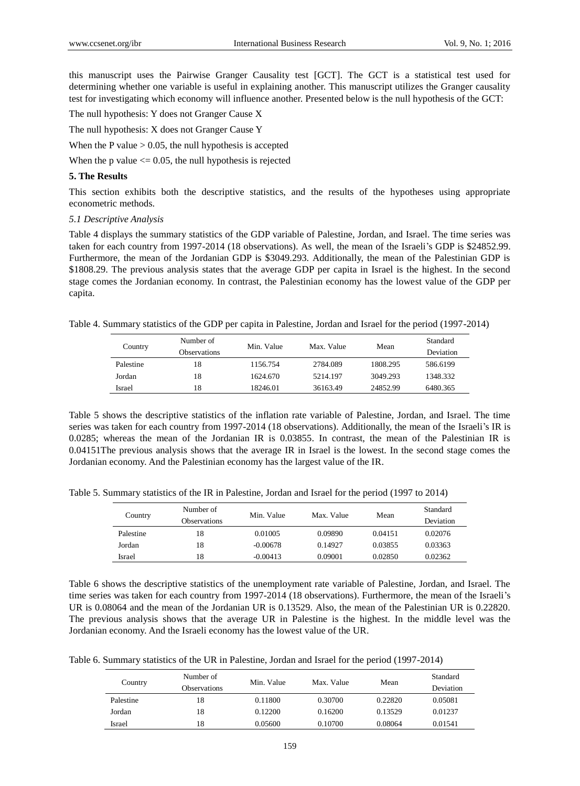this manuscript uses the Pairwise Granger Causality test [GCT]. The GCT is a statistical test used for determining whether one variable is useful in explaining another. This manuscript utilizes the Granger causality test for investigating which economy will influence another. Presented below is the null hypothesis of the GCT:

The null hypothesis: Y does not Granger Cause X

The null hypothesis: X does not Granger Cause Y

When the P value  $> 0.05$ , the null hypothesis is accepted

When the p value  $\leq$  0.05, the null hypothesis is rejected

## **5. The Results**

This section exhibits both the descriptive statistics, and the results of the hypotheses using appropriate econometric methods.

#### *5.1 Descriptive Analysis*

Table 4 displays the summary statistics of the GDP variable of Palestine, Jordan, and Israel. The time series was taken for each country from 1997-2014 (18 observations). As well, the mean of the Israeli's GDP is \$24852.99. Furthermore, the mean of the Jordanian GDP is \$3049.293. Additionally, the mean of the Palestinian GDP is \$1808.29. The previous analysis states that the average GDP per capita in Israel is the highest. In the second stage comes the Jordanian economy. In contrast, the Palestinian economy has the lowest value of the GDP per capita.

Table 4. Summary statistics of the GDP per capita in Palestine, Jordan and Israel for the period (1997-2014)

| Country   | Number of<br><b>Observations</b> | Min. Value | Max. Value | Mean     | Standard<br>Deviation |
|-----------|----------------------------------|------------|------------|----------|-----------------------|
| Palestine | 18                               | 1156.754   | 2784.089   | 1808.295 | 586.6199              |
| Jordan    | 18                               | 1624.670   | 5214.197   | 3049.293 | 1348.332              |
| Israel    | 18                               | 18246.01   | 36163.49   | 24852.99 | 6480.365              |
|           |                                  |            |            |          |                       |

Table 5 shows the descriptive statistics of the inflation rate variable of Palestine, Jordan, and Israel. The time series was taken for each country from 1997-2014 (18 observations). Additionally, the mean of the Israeli's IR is 0.0285; whereas the mean of the Jordanian IR is 0.03855. In contrast, the mean of the Palestinian IR is 0.04151The previous analysis shows that the average IR in Israel is the lowest. In the second stage comes the Jordanian economy. And the Palestinian economy has the largest value of the IR.

Table 5. Summary statistics of the IR in Palestine, Jordan and Israel for the period (1997 to 2014)

| Country   | Number of<br><b>Observations</b> | Min. Value | Max. Value | Mean    | Standard<br>Deviation |
|-----------|----------------------------------|------------|------------|---------|-----------------------|
| Palestine | 18                               | 0.01005    | 0.09890    | 0.04151 | 0.02076               |
| Jordan    | 18                               | $-0.00678$ | 0.14927    | 0.03855 | 0.03363               |
| Israel    | 18                               | $-0.00413$ | 0.09001    | 0.02850 | 0.02362               |

Table 6 shows the descriptive statistics of the unemployment rate variable of Palestine, Jordan, and Israel. The time series was taken for each country from 1997-2014 (18 observations). Furthermore, the mean of the Israeli's UR is 0.08064 and the mean of the Jordanian UR is 0.13529. Also, the mean of the Palestinian UR is 0.22820. The previous analysis shows that the average UR in Palestine is the highest. In the middle level was the Jordanian economy. And the Israeli economy has the lowest value of the UR.

Table 6. Summary statistics of the UR in Palestine, Jordan and Israel for the period (1997-2014)

| Country   | Number of           | Min. Value | Max. Value | Mean    | Standard  |
|-----------|---------------------|------------|------------|---------|-----------|
|           | <b>Observations</b> |            |            |         | Deviation |
| Palestine | 18                  | 0.11800    | 0.30700    | 0.22820 | 0.05081   |
| Jordan    | 18                  | 0.12200    | 0.16200    | 0.13529 | 0.01237   |
| Israel    | 18                  | 0.05600    | 0.10700    | 0.08064 | 0.01541   |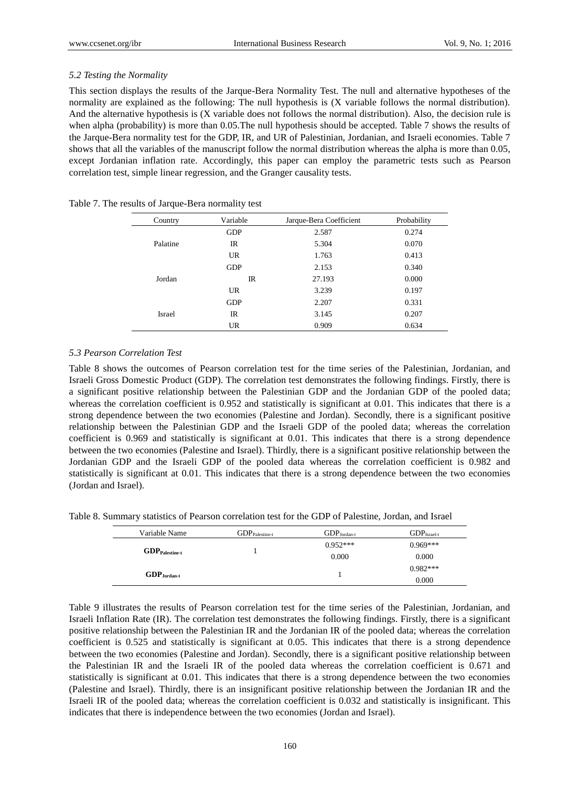# *5.2 Testing the Normality*

This section displays the results of the Jarque-Bera Normality Test. The null and alternative hypotheses of the normality are explained as the following: The null hypothesis is (X variable follows the normal distribution). And the alternative hypothesis is (X variable does not follows the normal distribution). Also, the decision rule is when alpha (probability) is more than 0.05.The null hypothesis should be accepted. Table 7 shows the results of the Jarque-Bera normality test for the GDP, IR, and UR of Palestinian, Jordanian, and Israeli economies. Table 7 shows that all the variables of the manuscript follow the normal distribution whereas the alpha is more than 0.05, except Jordanian inflation rate. Accordingly, this paper can employ the parametric tests such as [Pearson](http://changingminds.org/explanations/research/analysis/pearson.htm) correlation test, simple linear regression, and the Granger causality tests.

| Country   | Variable    | Jarque-Bera Coefficient | Probability |
|-----------|-------------|-------------------------|-------------|
|           | <b>GDP</b>  | 2.587                   | 0.274       |
| Palatine  | $_{\rm IR}$ | 5.304                   | 0.070       |
|           | <b>UR</b>   | 1.763                   | 0.413       |
|           | <b>GDP</b>  | 2.153                   | 0.340       |
| Jordan    | $_{\rm IR}$ | 27.193                  | 0.000       |
| <b>UR</b> |             | 3.239                   | 0.197       |
|           | <b>GDP</b>  | 2.207                   | 0.331       |
| Israel    | $_{\rm IR}$ | 3.145                   | 0.207       |
|           | <b>UR</b>   | 0.909                   | 0.634       |

Table 7. The results of Jarque-Bera normality test

# *5.3 Pearson Correlation Test*

Table 8 shows the outcomes of Pearson correlation test for the time series of the Palestinian, Jordanian, and Israeli Gross Domestic Product (GDP). The correlation test demonstrates the following findings. Firstly, there is a significant positive relationship between the Palestinian GDP and the Jordanian GDP of the pooled data; whereas the correlation coefficient is 0.952 and statistically is significant at 0.01. This indicates that there is a strong dependence between the two economies (Palestine and Jordan). Secondly, there is a significant positive relationship between the Palestinian GDP and the Israeli GDP of the pooled data; whereas the correlation coefficient is 0.969 and statistically is significant at 0.01. This indicates that there is a strong dependence between the two economies (Palestine and Israel). Thirdly, there is a significant positive relationship between the Jordanian GDP and the Israeli GDP of the pooled data whereas the correlation coefficient is 0.982 and statistically is significant at 0.01. This indicates that there is a strong dependence between the two economies (Jordan and Israel).

Table 8. Summary statistics of Pearson correlation test for the GDP of Palestine, Jordan, and Israel

| Variable Name                       | $GDP_{\text{Palestine-f}}$ | $GDP_{Jordan-t}$ | $GDPIsrael-t$ |
|-------------------------------------|----------------------------|------------------|---------------|
|                                     |                            | $0.952***$       | $0.969***$    |
| $\mathbf{GDP}_{\text{Palestine-t}}$ |                            | 0.000            | 0.000         |
|                                     |                            |                  | $0.982***$    |
| $GDP_{Jordan-t}$                    |                            |                  | 0.000         |

Table 9 illustrates the results of Pearson correlation test for the time series of the Palestinian, Jordanian, and Israeli Inflation Rate (IR). The correlation test demonstrates the following findings. Firstly, there is a significant positive relationship between the Palestinian IR and the Jordanian IR of the pooled data; whereas the correlation coefficient is 0.525 and statistically is significant at 0.05. This indicates that there is a strong dependence between the two economies (Palestine and Jordan). Secondly, there is a significant positive relationship between the Palestinian IR and the Israeli IR of the pooled data whereas the correlation coefficient is 0.671 and statistically is significant at 0.01. This indicates that there is a strong dependence between the two economies (Palestine and Israel). Thirdly, there is an insignificant positive relationship between the Jordanian IR and the Israeli IR of the pooled data; whereas the correlation coefficient is 0.032 and statistically is insignificant. This indicates that there is independence between the two economies (Jordan and Israel).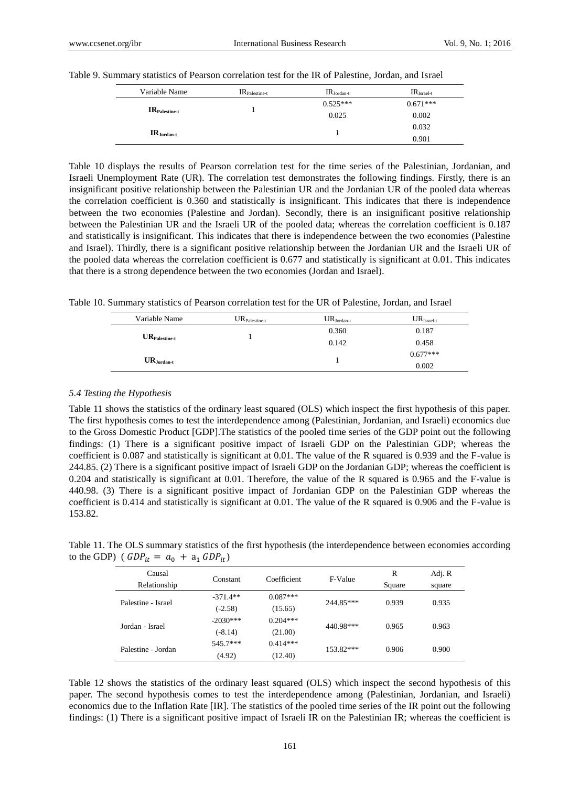| Variable Name   | $IR_{\text{Palestine-t}}$ | $IR_{Jordan-t}$ | $IRIsrael-t$ |
|-----------------|---------------------------|-----------------|--------------|
|                 |                           | $0.525***$      | $0.671***$   |
| $IRPalestine-t$ |                           | 0.025           | 0.002        |
|                 |                           |                 | 0.032        |
| $IR_{Jordan-t}$ |                           |                 | 0.901        |

Table 9. Summary statistics of Pearson correlation test for the IR of Palestine, Jordan, and Israel

Table 10 displays the results of Pearson correlation test for the time series of the Palestinian, Jordanian, and Israeli Unemployment Rate (UR). The correlation test demonstrates the following findings. Firstly, there is an insignificant positive relationship between the Palestinian UR and the Jordanian UR of the pooled data whereas the correlation coefficient is 0.360 and statistically is insignificant. This indicates that there is independence between the two economies (Palestine and Jordan). Secondly, there is an insignificant positive relationship between the Palestinian UR and the Israeli UR of the pooled data; whereas the correlation coefficient is 0.187 and statistically is insignificant. This indicates that there is independence between the two economies (Palestine and Israel). Thirdly, there is a significant positive relationship between the Jordanian UR and the Israeli UR of the pooled data whereas the correlation coefficient is 0.677 and statistically is significant at 0.01. This indicates that there is a strong dependence between the two economies (Jordan and Israel).

Table 10. Summary statistics of Pearson correlation test for the UR of Palestine, Jordan, and Israel

| Variable Name             | $UR_{\text{Palestine-t}}$ | $\mathrm{UR}_{\mathrm{Jordan}\text{-}t}$ | $URIsrael-t$ |
|---------------------------|---------------------------|------------------------------------------|--------------|
|                           |                           | 0.360                                    | 0.187        |
| $UR_{\text{Palestine-t}}$ |                           | 0.142                                    | 0.458        |
|                           |                           |                                          | $0.677***$   |
| $UR_{Jordan-t}$           |                           |                                          | 0.002        |

# *5.4 Testing the Hypothesis*

Table 11 shows the statistics of the ordinary least squared (OLS) which inspect the first hypothesis of this paper. The first hypothesis comes to test the interdependence among (Palestinian, Jordanian, and Israeli) economics due to the Gross Domestic Product [GDP].The statistics of the pooled time series of the GDP point out the following findings: (1) There is a significant positive impact of Israeli GDP on the Palestinian GDP; whereas the coefficient is 0.087 and statistically is significant at 0.01. The value of the R squared is 0.939 and the F-value is 244.85. (2) There is a significant positive impact of Israeli GDP on the Jordanian GDP; whereas the coefficient is 0.204 and statistically is significant at 0.01. Therefore, the value of the R squared is 0.965 and the F-value is 440.98. (3) There is a significant positive impact of Jordanian GDP on the Palestinian GDP whereas the coefficient is 0.414 and statistically is significant at 0.01. The value of the R squared is 0.906 and the F-value is 153.82.

Table 11. The OLS summary statistics of the first hypothesis (the interdependence between economies according to the GDP) (  $GDP_{it} = a_0 + a_1 GDP_{it}$ )

| Causal             |            | Coefficient | F-Value     | R      | Adj. R |
|--------------------|------------|-------------|-------------|--------|--------|
| Relationship       | Constant   |             |             | Square | square |
| Palestine - Israel | $-371.4**$ | $0.087***$  | 244.85***   | 0.939  | 0.935  |
|                    | $(-2.58)$  | (15.65)     |             |        |        |
| Jordan - Israel    | $-2030***$ | $0.204***$  | 440.98***   | 0.965  | 0.963  |
|                    | $(-8.14)$  | (21.00)     |             |        |        |
| Palestine - Jordan | 545.7***   | $0.414***$  | $153.82***$ | 0.906  | 0.900  |
|                    | (4.92)     | (12.40)     |             |        |        |

Table 12 shows the statistics of the ordinary least squared (OLS) which inspect the second hypothesis of this paper. The second hypothesis comes to test the interdependence among (Palestinian, Jordanian, and Israeli) economics due to the Inflation Rate [IR]. The statistics of the pooled time series of the IR point out the following findings: (1) There is a significant positive impact of Israeli IR on the Palestinian IR; whereas the coefficient is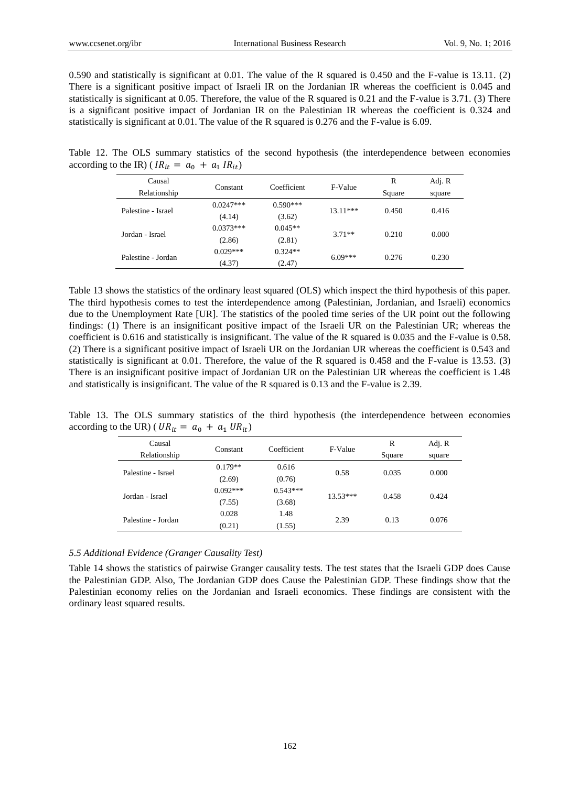0.590 and statistically is significant at 0.01. The value of the R squared is 0.450 and the F-value is 13.11. (2) There is a significant positive impact of Israeli IR on the Jordanian IR whereas the coefficient is 0.045 and statistically is significant at 0.05. Therefore, the value of the R squared is 0.21 and the F-value is 3.71. (3) There is a significant positive impact of Jordanian IR on the Palestinian IR whereas the coefficient is 0.324 and statistically is significant at 0.01. The value of the R squared is 0.276 and the F-value is 6.09.

Table 12. The OLS summary statistics of the second hypothesis (the interdependence between economies according to the IR) ( $IR_{it} = a_0 + a_1 IR_{it}$ )

| Causal             | Constant    | Coefficient | F-Value    | R      | Adj. R |
|--------------------|-------------|-------------|------------|--------|--------|
| Relationship       |             |             |            | Square | square |
| Palestine - Israel | $0.0247***$ | $0.590***$  | $13.11***$ | 0.450  | 0.416  |
|                    | (4.14)      | (3.62)      |            |        |        |
| Jordan - Israel    | $0.0373***$ | $0.045**$   | $3.71**$   | 0.210  | 0.000  |
|                    | (2.86)      | (2.81)      |            |        |        |
| Palestine - Jordan | $0.029***$  | $0.324**$   | $6.09***$  | 0.276  | 0.230  |
|                    | (4.37)      | (2.47)      |            |        |        |

Table 13 shows the statistics of the ordinary least squared (OLS) which inspect the third hypothesis of this paper. The third hypothesis comes to test the interdependence among (Palestinian, Jordanian, and Israeli) economics due to the Unemployment Rate [UR]. The statistics of the pooled time series of the UR point out the following findings: (1) There is an insignificant positive impact of the Israeli UR on the Palestinian UR; whereas the coefficient is 0.616 and statistically is insignificant. The value of the R squared is 0.035 and the F-value is 0.58. (2) There is a significant positive impact of Israeli UR on the Jordanian UR whereas the coefficient is 0.543 and statistically is significant at 0.01. Therefore, the value of the R squared is 0.458 and the F-value is 13.53. (3) There is an insignificant positive impact of Jordanian UR on the Palestinian UR whereas the coefficient is 1.48 and statistically is insignificant. The value of the R squared is 0.13 and the F-value is 2.39.

Table 13. The OLS summary statistics of the third hypothesis (the interdependence between economies according to the UR) (  $UR_{it} = a_0 + a_1 \, UR_{it}$ )

| Causal             | Constant   | Coefficient | F-Value    | R      | Adj. R |
|--------------------|------------|-------------|------------|--------|--------|
| Relationship       |            |             |            | Square | square |
| Palestine - Israel | $0.179**$  | 0.616       | 0.58       | 0.035  | 0.000  |
|                    | (2.69)     | (0.76)      |            |        |        |
| Jordan - Israel    | $0.092***$ | $0.543***$  | $13.53***$ | 0.458  | 0.424  |
|                    | (7.55)     | (3.68)      |            |        |        |
| Palestine - Jordan | 0.028      | 1.48        | 2.39       | 0.13   | 0.076  |
|                    | (0.21)     | (1.55)      |            |        |        |

# *5.5 Additional Evidence (Granger Causality Test)*

Table 14 shows the statistics of pairwise Granger causality tests. The test states that the Israeli GDP does Cause the Palestinian GDP. Also, The Jordanian GDP does Cause the Palestinian GDP. These findings show that the Palestinian economy relies on the Jordanian and Israeli economics. These findings are consistent with the ordinary least squared results.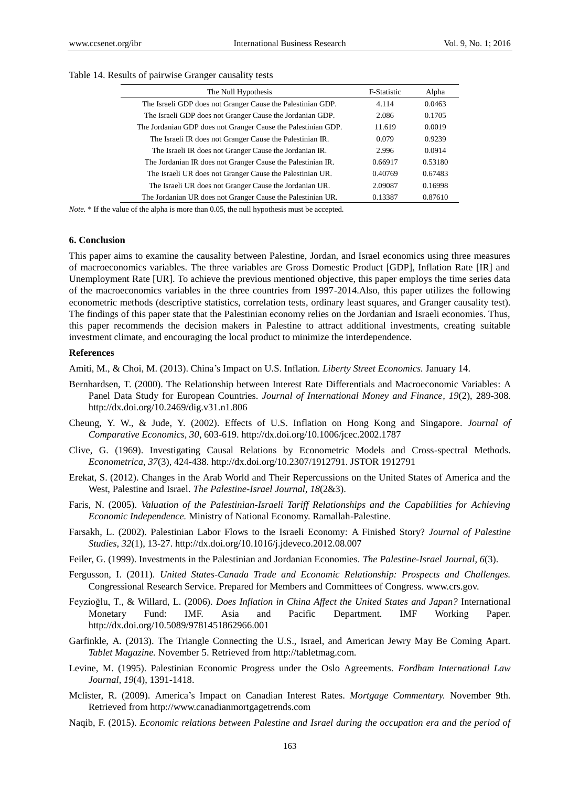| The Null Hypothesis                                           | F-Statistic | Alpha   |
|---------------------------------------------------------------|-------------|---------|
| The Israeli GDP does not Granger Cause the Palestinian GDP.   | 4.114       | 0.0463  |
| The Israeli GDP does not Granger Cause the Jordanian GDP.     | 2.086       | 0.1705  |
| The Jordanian GDP does not Granger Cause the Palestinian GDP. | 11.619      | 0.0019  |
| The Israeli IR does not Granger Cause the Palestinian IR.     | 0.079       | 0.9239  |
| The Israeli IR does not Granger Cause the Jordanian IR.       | 2.996       | 0.0914  |
| The Jordanian IR does not Granger Cause the Palestinian IR.   | 0.66917     | 0.53180 |
| The Israeli UR does not Granger Cause the Palestinian UR.     | 0.40769     | 0.67483 |
| The Israeli UR does not Granger Cause the Jordanian UR.       | 2.09087     | 0.16998 |
| The Jordanian UR does not Granger Cause the Palestinian UR.   | 0.13387     | 0.87610 |

## Table 14. Results of pairwise Granger causality tests

*Note.* \* If the value of the alpha is more than 0.05, the null hypothesis must be accepted.

#### **6. Conclusion**

This paper aims to examine the causality between Palestine, Jordan, and Israel economics using three measures of macroeconomics variables. The three variables are Gross Domestic Product [GDP], Inflation Rate [IR] and Unemployment Rate [UR]. To achieve the previous mentioned objective, this paper employs the time series data of the macroeconomics variables in the three countries from 1997-2014.Also, this paper utilizes the following econometric methods (descriptive statistics, correlation tests, ordinary least squares, and Granger causality test). The findings of this paper state that the Palestinian economy relies on the Jordanian and Israeli economies. Thus, this paper recommends the decision makers in Palestine to attract additional investments, creating suitable investment climate, and encouraging the local product to minimize the interdependence.

#### **References**

Amiti, M., & Choi, M. (2013). China's Impact on U.S. Inflation. *Liberty Street Economics.* January 14.

- Bernhardsen, T. (2000). The Relationship between Interest Rate Differentials and Macroeconomic Variables: A Panel Data Study for European Countries. *Journal of International Money and Finance, 19*(2), 289-308. http://dx.doi.org/10.2469/dig.v31.n1.806
- Cheung, Y. W., & Jude, Y. (2002). Effects of U.S. Inflation on Hong Kong and Singapore. *Journal of Comparative Economics, 30*, 603-619. http://dx.doi.org/10.1006/jcec.2002.1787
- Clive, G. (1969). Investigating Causal Relations by Econometric Models and Cross-spectral Methods. *Econometrica, 37*(3), 424-438. http://dx.doi.org/10.2307/1912791. JSTOR 1912791
- Erekat, S. (2012). Changes in the Arab World and Their Repercussions on the United States of America and the West, Palestine and Israel. *The Palestine-Israel Journal, 18*(2&3).
- Faris, N. (2005). *Valuation of the Palestinian-Israeli Tariff Relationships and the Capabilities for Achieving Economic Independence.* Ministry of National Economy. Ramallah-Palestine.
- Farsakh, L. (2002). Palestinian Labor Flows to the Israeli Economy: A Finished Story? *Journal of Palestine Studies, 32*(1), 13-27. http://dx.doi.org/10.1016/j.jdeveco.2012.08.007
- Feiler, G. (1999). Investments in the Palestinian and Jordanian Economies. *The Palestine-Israel Journal, 6*(3).
- Fergusson, I. (2011). *United States-Canada Trade and Economic Relationship: Prospects and Challenges.*  Congressional Research Service. Prepared for Members and Committees of Congress. www.crs.gov.
- Feyzioğlu, T., & Willard, L. (2006). *Does Inflation in China Affect the United States and Japan?* International Monetary Fund: IMF. Asia and Pacific Department. IMF Working Paper. http://dx.doi.org/10.5089/9781451862966.001
- Garfinkle, A. (2013). The Triangle Connecting the U.S., Israel, and American Jewry May Be Coming Apart. *Tablet Magazine.* November 5. Retrieved from http://tabletmag.com.
- Levine, M. (1995). Palestinian Economic Progress under the Oslo Agreements. *Fordham International Law Journal, 19*(4), 1391-1418.
- Mclister, R. (2009). America's Impact on Canadian Interest Rates. *Mortgage Commentary.* November 9th. Retrieved from http://www.canadianmortgagetrends.com
- Naqib, F. (2015). *Economic relations between Palestine and Israel during the occupation era and the period of*